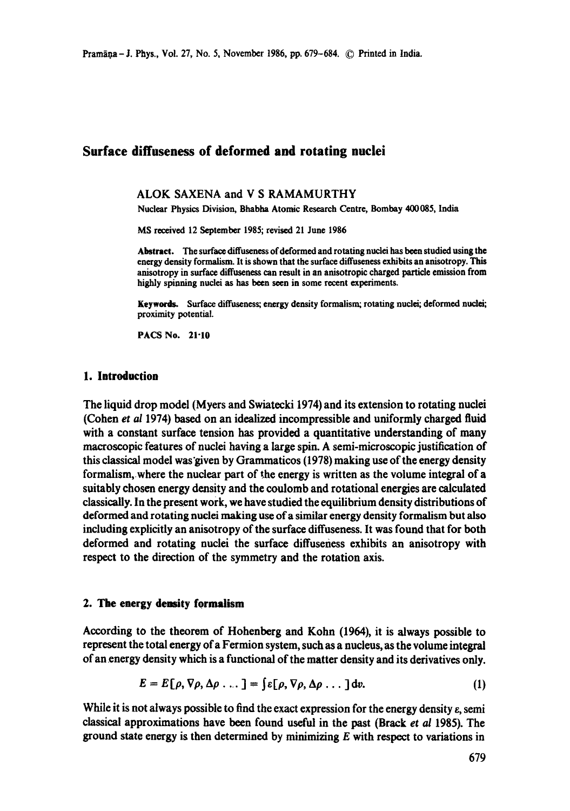# **Surface diffuseness of deformed and rotating nuclei**

#### **ALOK SAXENA and V S RAMAMURTHY**

Nuclear Physics Division, Bhabba Atomic Research Centre, Bombay 400085, India

MS received 12 September 1985; revised 21 June 1986

Abstract. The surface diffuseness of deformed and rotating nuclei has been studied using the energy density formalism. It is shown that the surface diffuseness exhibits an anisotropy. This anisotropy in surface diffuseness can result in an anisotropic charged particle emission **from**  highly spinning nuclei as has been seen in some recent experiments.

Keywords. Surface diffuseness; energy density formalism; rotating nuclei; deformed nuclei; proximity potential.

PACS No. 21.10

### **1. Introduction**

The liquid drop model (Myers and Swiatecki 1974) and its extension to rotating nuclei (Cohen *et al* 1974) based on an idealized incompressible and uniformly charged fluid with a constant surface tension has provided a quantitative understanding of many macroscopic features of nuclei having a large spin. A semi-microscopic justification of this classical model was given by Grammaticos  $(1978)$  making use of the energy density formalism, where the nuclear part of the energy is written as the volume integral of a suitably chosen energy density and the coulomb and rotational energies are calculated classically. In the present work, we have studied the equilibrium density distributions of deformed and rotating nuclei making use of a similar energy density formalism but also including explicitly an anisotropy of the surface diffuseness. It was found that for both deformed and rotating nuclei the surface diffuseness exhibits an anisotropy with respect to the direction of the symmetry and the rotation axis.

### **2. The energy density formalism**

According to the theorem of Hohenberg and Kohn (1964), it is always possible to represent the total energy of a Fermion system, such as a nucleus, as the volume integral of an energy density which is a functional of the matter density and its derivatives only.

$$
E = E[\rho, \nabla \rho, \Delta \rho \dots] = \int \varepsilon[\rho, \nabla \rho, \Delta \rho \dots] dv.
$$
 (1)

While it is not always possible to find the exact expression for the energy density  $\varepsilon$ , semi classical approximations have been found useful in the past (Brack et al 1985). The ground state energy is then determined by minimizing  $E$  with respect to variations in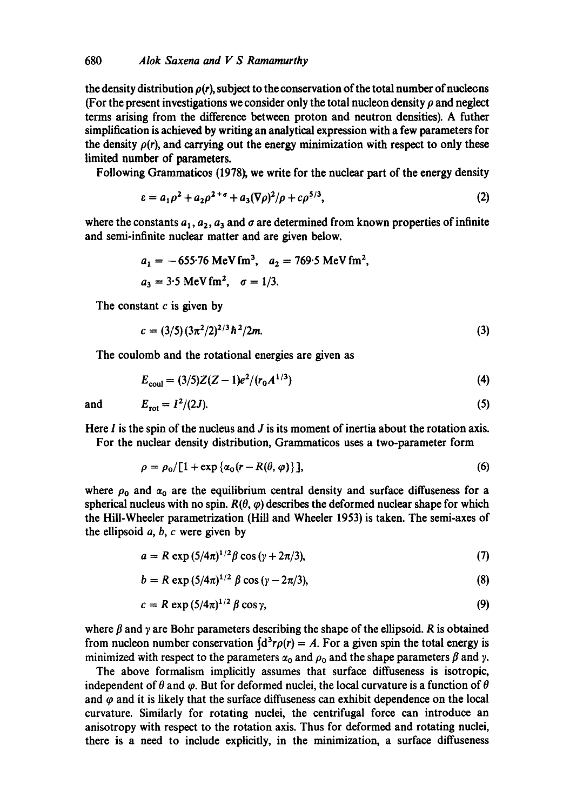the density distribution  $\rho(r)$ , subject to the conservation of the total number of nucleons (For the present investigations we consider only the total nucleon density  $\rho$  and neglect terms arising from the difference between proton and neutron densities). A futher simplification is achieved by writing an analytical expression with a few parameters for the density  $\rho(r)$ , and carrying out the energy minimization with respect to only these limited number of parameters.

Following Grammaticos (1978), we write for the nuclear part of the energy density

$$
\varepsilon = a_1 \rho^2 + a_2 \rho^{2+\sigma} + a_3 (\nabla \rho)^2 / \rho + c \rho^{5/3},\tag{2}
$$

where the constants  $a_1, a_2, a_3$  and  $\sigma$  are determined from known properties of infinite and semi-infinite nuclear matter and are given below.

$$
a_1 = -655.76 \text{ MeV fm}^3
$$
,  $a_2 = 769.5 \text{ MeV fm}^2$ ,  
 $a_3 = 3.5 \text{ MeV fm}^2$ ,  $\sigma = 1/3$ .

The constant  $c$  is given by

$$
c = (3/5) (3\pi^2/2)^{2/3} \hbar^2/2m.
$$
 (3)

The coulomb and the rotational energies are given as

$$
E_{\text{coul}} = (3/5)Z(Z - 1)e^2/(r_0 A^{1/3})
$$
\n(4)

and  $E_{\text{rot}} = I^2/(2J).$  (5)

Here  $I$  is the spin of the nucleus and  $J$  is its moment of inertia about the rotation axis. For the nuclear density distribution, Grammaticos uses a two-parameter form

$$
\rho = \rho_0 / [1 + \exp{\{\alpha_0 (r - R(\theta, \varphi)\}\},
$$
\n(6)

where  $\rho_0$  and  $\alpha_0$  are the equilibrium central density and surface diffuseness for a spherical nucleus with no spin.  $R(\theta, \varphi)$  describes the deformed nuclear shape for which the Hill-Wheeler parametrization (Hill and Wheeler 1953) is taken. The semi-axes of the ellipsoid  $a, b, c$  were given by

$$
a = R \exp (5/4\pi)^{1/2} \beta \cos (\gamma + 2\pi/3), \tag{7}
$$

$$
b = R \exp(5/4\pi)^{1/2} \beta \cos(\gamma - 2\pi/3),
$$
 (8)

$$
c = R \exp\left(\frac{5}{4\pi}\right)^{1/2} \beta \cos \gamma, \tag{9}
$$

where  $\beta$  and  $\gamma$  are Bohr parameters describing the shape of the ellipsoid. R is obtained from nucleon number conservation  $\{d^3r\rho(r) = A$ . For a given spin the total energy is minimized with respect to the parameters  $\alpha_0$  and  $\rho_0$  and the shape parameters  $\beta$  and  $\gamma$ .

The above formalism implicitly assumes that surface diffuseness is isotropic, independent of  $\theta$  and  $\varphi$ . But for deformed nuclei, the local curvature is a function of  $\theta$ and  $\varphi$  and it is likely that the surface diffuseness can exhibit dependence on the local curvature. Similarly for rotating nuclei, the centrifugal force can introduce an anisotropy with respect to the rotation axis. Thus for deformed and rotating nuclei, there is a need to include explicitly, in the minimization, a surface diffuseness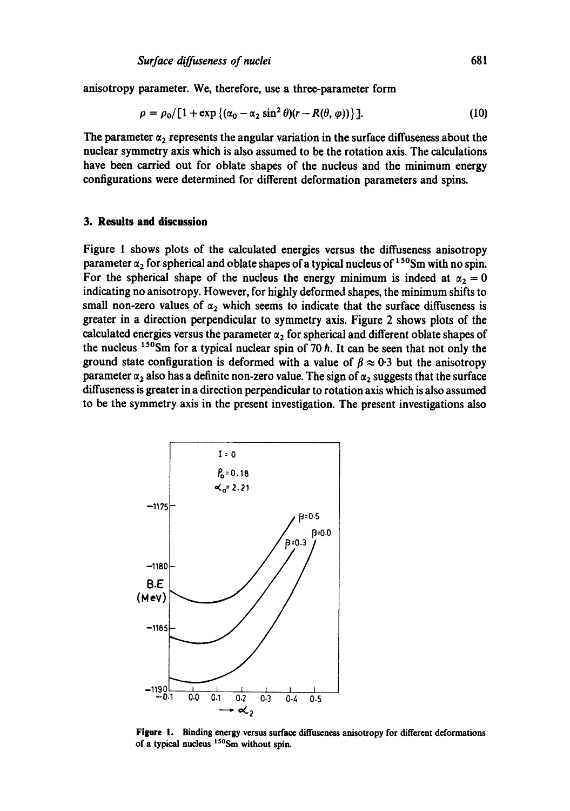anisotropy parameter. We, therefore, use a three-parameter form

$$
\rho = \rho_0/[1 + \exp\left\{(\alpha_0 - \alpha_2 \sin^2 \theta)(r - R(\theta, \varphi))\right\}].
$$
 (10)

The parameter  $\alpha_2$  represents the angular variation in the surface diffuseness about the nuclear symmetry axis which is also assumed to be the rotation axis. The calculations have been carried out for oblate shapes of the nucleus and the minimum energy configurations were determined for different deformation parameters and spins.

### **3. Results and discussion**

Figure 1 shows plots of the calculated energies versus the diffuseness anisotropy parameter  $\alpha_2$  for spherical and oblate shapes of a typical nucleus of  $150$ Sm with no spin. For the spherical shape of the nucleus the energy minimum is indeed at  $\alpha_2 = 0$ indicating no anisotropy. However, for highly deformed shapes, the minimum shifts to small non-zero values of  $\alpha_2$  which seems to indicate that the surface diffuseness is greater in a direction perpendicular to symmetry axis. Figure 2 shows plots of the calculated energies versus the parameter  $\alpha_2$  for spherical and different oblate shapes of the nucleus  $150$ Sm for a typical nuclear spin of 70 h. It can be seen that not only the ground state configuration is deformed with a value of  $\beta \approx 0.3$  but the anisotropy parameter  $\alpha_2$  also has a definite non-zero value. The sign of  $\alpha_2$  suggests that the surface diffuseness is greater in a direction perpendicular to rotation axis which is also assumed to be the symmetry axis in the present investigation. The present investigations also



**Figure** 1. Binding energy versus surface diffuseness anisotropy for different deformations of a typical nucleus  $150$ Sm without spin.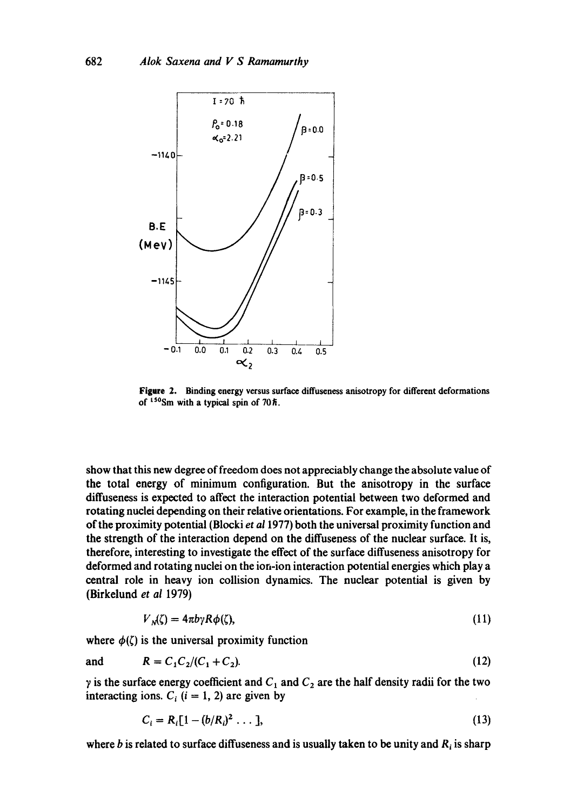

**Figure 2. Binding energy versus surface diffuseness anisotropy for different deformations**  of <sup>150</sup>Sm with a typical spin of 70 $\hbar$ .

show that this new degree of freedom does not appreciably change the absolute value of the total energy of minimum configuration. But the anisotropy in the surface diffuseness is expected to affect the interaction potential between two deformed and rotating nuclei depending on their relative orientations. For example, in the framework of the proximity potential (Blockiet *a11977)* both the universal proximity function and the strength of the interaction depend on the diffuseness of the nuclear surface. It is, therefore, interesting to investigate the effect of the surface diffuseness anisotropy for deformed and rotating nuclei on the ion-ion interaction potential energies which play a central role in heavy ion collision dynamics. The nuclear potential is given by (Birkelund *et al* 1979)

$$
V_N(\zeta) = 4\pi b \gamma R \phi(\zeta), \qquad (11)
$$

where  $\phi(\zeta)$  is the universal proximity function

and 
$$
R = C_1 C_2 / (C_1 + C_2).
$$
 (12)

 $\gamma$  is the surface energy coefficient and  $C_1$  and  $C_2$  are the half density radii for the two interacting ions.  $C_i$  (i = 1, 2) are given by

$$
C_i = R_i[1 - (b/R_i)^2 \dots], \tag{13}
$$

where b is related to surface diffuseness and is usually taken to be unity and  $R_i$  is sharp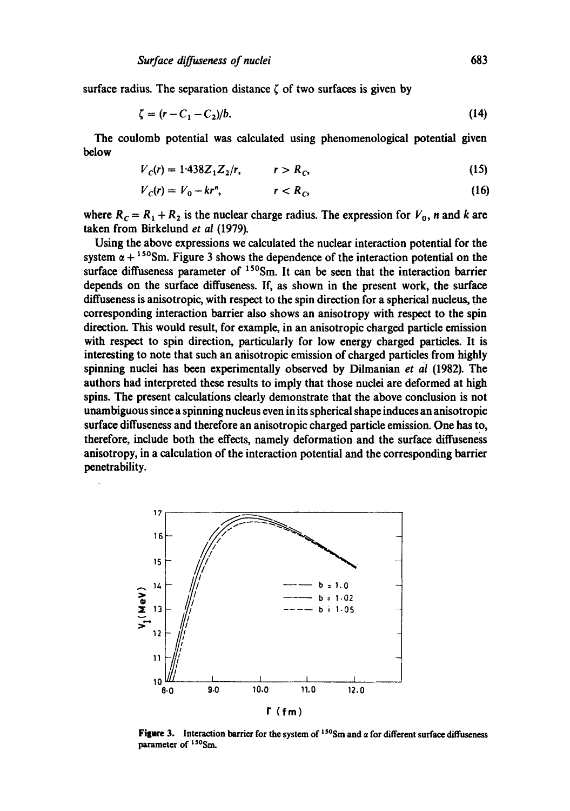surface radius. The separation distance  $\zeta$  of two surfaces is given by

$$
\zeta = (r - C_1 - C_2)/b. \tag{14}
$$

The coulomb potential was calculated using phenomenological potential given below

$$
V_c(r) = 1.438 Z_1 Z_2/r, \qquad r > R_c,
$$
 (15)

$$
V_c(r) = V_0 - kr^n, \qquad \qquad r < R_c,\tag{16}
$$

where  $R_c = R_1 + R_2$  is the nuclear charge radius. The expression for  $V_0$ , n and k are taken from Birkelund et al (1979).

Using the above expressions we calculated the nuclear interaction potential for the system  $\alpha + {}^{150}Sm$ . Figure 3 shows the dependence of the interaction potential on the surface diffuseness parameter of  $150$ Sm. It can be seen that the interaction barrier depends on the surface diffuseness. If, as shown in the present work, the surface diffuseness is anisotropic, with respect to the spin direction for a spherical nucleus, the corresponding interaction barrier also shows an anisotropy with respect to the spin direction. This would result, for example, in an anisotropic charged particle emission with respect to spin direction, particularly for low energy charged particles. It is interesting to note that such an anisotropic emission of charged particles from highly spinning nuclei has been experimentally observed by Dilmanian et al (1982). The authors had interpreted these results to imply that those nuclei are deformed at high spins. The present calculations clearly demonstrate that the above conclusion is not unambiguous since a spinning nucleus even in its spherical shape induces an anisotropic surface diffuseness and therefore an anisotropic charged particle emission. One has to, therefore, include both the effects, namely deformation and the surface diffuseness anisotropy, in a calculation of the interaction potential and the corresponding barrier penetrability.



Figure 3. Interaction barrier for the system of  $150$ Sm and  $\alpha$  for different surface diffuseness parameter of <sup>150</sup>Sm.